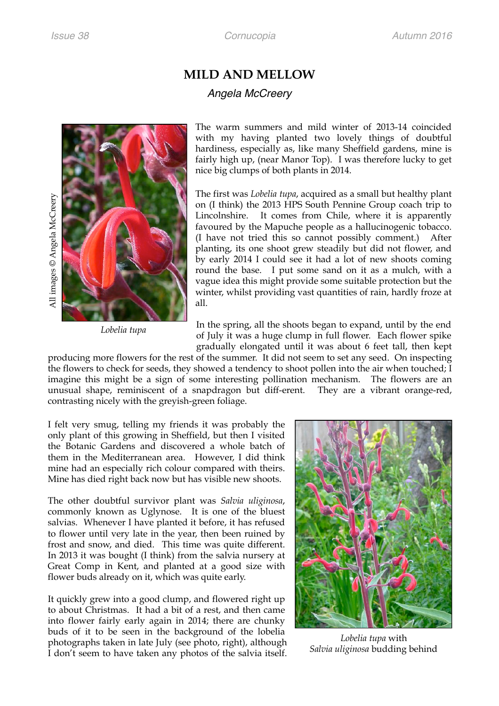## **MILD AND MELLOW**

## *Angela McCreery*





*Lobelia tupa*

The warm summers and mild winter of 2013-14 coincided with my having planted two lovely things of doubtful hardiness, especially as, like many Sheffield gardens, mine is fairly high up, (near Manor Top). I was therefore lucky to get nice big clumps of both plants in 2014.

The first was *Lobelia tupa*, acquired as a small but healthy plant on (I think) the 2013 HPS South Pennine Group coach trip to Lincolnshire. It comes from Chile, where it is apparently favoured by the Mapuche people as a hallucinogenic tobacco. (I have not tried this so cannot possibly comment.) After planting, its one shoot grew steadily but did not flower, and by early 2014 I could see it had a lot of new shoots coming round the base. I put some sand on it as a mulch, with a vague idea this might provide some suitable protection but the winter, whilst providing vast quantities of rain, hardly froze at all.

In the spring, all the shoots began to expand, until by the end of July it was a huge clump in full flower. Each flower spike gradually elongated until it was about 6 feet tall, then kept

producing more flowers for the rest of the summer. It did not seem to set any seed. On inspecting the flowers to check for seeds, they showed a tendency to shoot pollen into the air when touched; I imagine this might be a sign of some interesting pollination mechanism. The flowers are an unusual shape, reminiscent of a snapdragon but diff-erent. They are a vibrant orange-red, contrasting nicely with the greyish-green foliage.

I felt very smug, telling my friends it was probably the only plant of this growing in Sheffield, but then I visited the Botanic Gardens and discovered a whole batch of them in the Mediterranean area. However, I did think mine had an especially rich colour compared with theirs. Mine has died right back now but has visible new shoots.

The other doubtful survivor plant was *Salvia uliginosa*, commonly known as Uglynose. It is one of the bluest salvias. Whenever I have planted it before, it has refused to flower until very late in the year, then been ruined by frost and snow, and died. This time was quite different. In 2013 it was bought (I think) from the salvia nursery at Great Comp in Kent, and planted at a good size with flower buds already on it, which was quite early.

It quickly grew into a good clump, and flowered right up to about Christmas. It had a bit of a rest, and then came into flower fairly early again in 2014; there are chunky buds of it to be seen in the background of the lobelia photographs taken in late July (see photo, right), although I don't seem to have taken any photos of the salvia itself.



*Lobelia tupa* with *Salvia uliginosa* budding behind